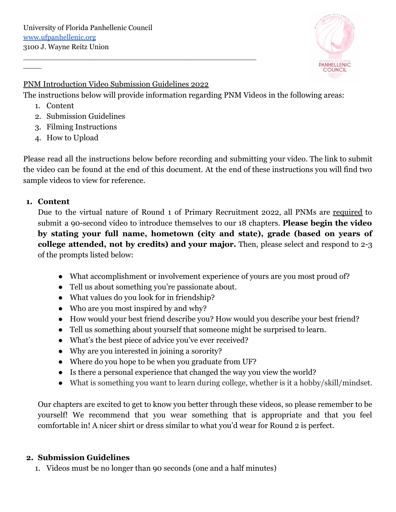

### PNM Introduction Video Submission Guidelines 2022

\_\_\_\_\_\_\_\_\_\_\_\_\_\_\_\_\_\_\_\_\_\_\_\_\_\_\_\_\_\_\_\_\_\_\_\_\_\_\_\_\_\_\_\_\_\_\_\_\_\_\_

The instructions below will provide information regarding PNM Videos in the following areas:

1. Content

 $\overline{\phantom{a}}$ 

- 2. Submission Guidelines
- 3. Filming Instructions
- 4. How to Upload

Please read all the instructions below before recording and submitting your video. The link to submit the video can be found at the end of this document. At the end of these instructions you will find two sample videos to view for reference.

## **1. Content**

Due to the virtual nature of Round 1 of Primary Recruitment 2022, all PNMs are required to submit a 90-second video to introduce themselves to our 18 chapters. **Please begin the video by stating your full name, hometown (city and state), grade (based on years of college attended, not by credits) and your major.** Then, please select and respond to 2-3 of the prompts listed below:

- What accomplishment or involvement experience of yours are you most proud of?
- Tell us about something you're passionate about.
- What values do you look for in friendship?
- Who are you most inspired by and why?
- How would your best friend describe you? How would you describe your best friend?
- Tell us something about yourself that someone might be surprised to learn.
- What's the best piece of advice you've ever received?
- Why are you interested in joining a sorority?
- Where do you hope to be when you graduate from UF?
- Is there a personal experience that changed the way you view the world?
- What is something you want to learn during college, whether is it a hobby/skill/mindset.

Our chapters are excited to get to know you better through these videos, so please remember to be yourself! We recommend that you wear something that is appropriate and that you feel comfortable in! A nicer shirt or dress similar to what you'd wear for Round 2 is perfect.

# **2. Submission Guidelines**

1. Videos must be no longer than 90 seconds (one and a half minutes)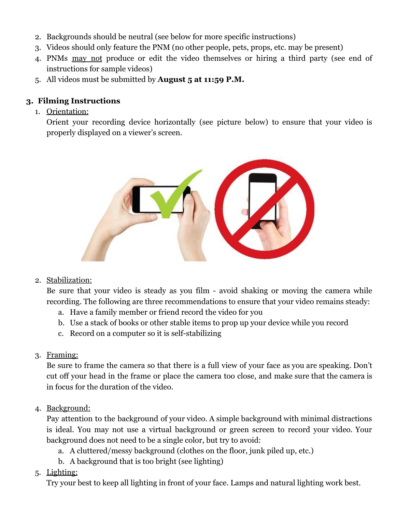- 2. Backgrounds should be neutral (see below for more specific instructions)
- 3. Videos should only feature the PNM (no other people, pets, props, etc. may be present)
- 4. PNMs may not produce or edit the video themselves or hiring a third party (see end of instructions for sample videos)
- 5. All videos must be submitted by **August 5 at 11:59 P.M.**

# **3. Filming Instructions**

1. Orientation:

Orient your recording device horizontally (see picture below) to ensure that your video is properly displayed on a viewer's screen.



2. Stabilization:

Be sure that your video is steady as you film - avoid shaking or moving the camera while recording. The following are three recommendations to ensure that your video remains steady:

- a. Have a family member or friend record the video for you
- b. Use a stack of books or other stable items to prop up your device while you record
- c. Record on a computer so it is self-stabilizing
- 3. Framing:

Be sure to frame the camera so that there is a full view of your face as you are speaking. Don't cut off your head in the frame or place the camera too close, and make sure that the camera is in focus for the duration of the video.

4. Background:

Pay attention to the background of your video. A simple background with minimal distractions is ideal. You may not use a virtual background or green screen to record your video. Your background does not need to be a single color, but try to avoid:

- a. A cluttered/messy background (clothes on the floor, junk piled up, etc.)
- b. A background that is too bright (see lighting)
- 5. Lighting:

Try your best to keep all lighting in front of your face. Lamps and natural lighting work best.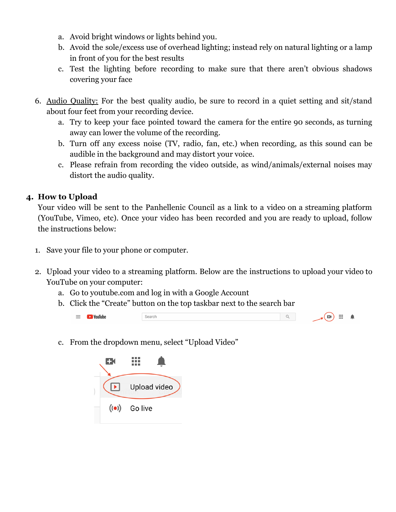- a. Avoid bright windows or lights behind you.
- b. Avoid the sole/excess use of overhead lighting; instead rely on natural lighting or a lamp in front of you for the best results
- c. Test the lighting before recording to make sure that there aren't obvious shadows covering your face
- 6. Audio Quality: For the best quality audio, be sure to record in a quiet setting and sit/stand about four feet from your recording device.
	- a. Try to keep your face pointed toward the camera for the entire 90 seconds, as turning away can lower the volume of the recording.
	- b. Turn off any excess noise (TV, radio, fan, etc.) when recording, as this sound can be audible in the background and may distort your voice.
	- c. Please refrain from recording the video outside, as wind/animals/external noises may distort the audio quality.

## **4. How to Upload**

Your video will be sent to the Panhellenic Council as a link to a video on a streaming platform (YouTube, Vimeo, etc). Once your video has been recorded and you are ready to upload, follow the instructions below:

- 1. Save your file to your phone or computer.
- 2. Upload your video to a streaming platform. Below are the instructions to upload your video to YouTube on your computer:
	- a. Go to youtube.com and log in with a Google Account
	- b. Click the "Create" button on the top taskbar next to the search bar

| <b>Youlube</b><br>$\overline{\phantom{a}}$ |      | . .<br>■■■ |
|--------------------------------------------|------|------------|
|                                            | $-1$ | 10,000     |

c. From the dropdown menu, select "Upload Video"

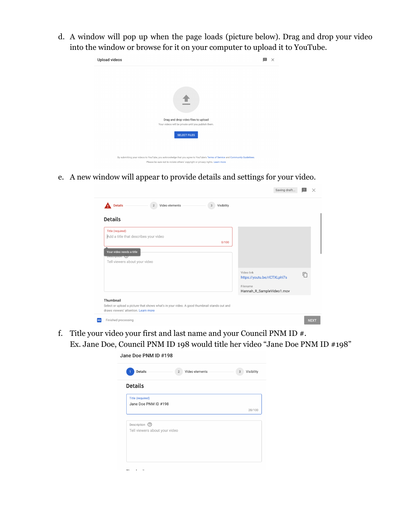d. A window will pop up when the page loads (picture below). Drag and drop your video into the window or browse for it on your computer to upload it to YouTube.



e. A new window will appear to provide details and settings for your video.

|                                                                                                                                     | Saving draft                               |   |             |
|-------------------------------------------------------------------------------------------------------------------------------------|--------------------------------------------|---|-------------|
| Video elements<br>Visibility<br><b>Details</b><br>$\overline{2}$<br>$\sqrt{3}$                                                      |                                            |   |             |
| <b>Details</b>                                                                                                                      |                                            |   |             |
| <b>Title (required)</b><br>Add a title that describes your video                                                                    |                                            |   |             |
| 0/100                                                                                                                               |                                            |   |             |
| Your video needs a title<br>инзеприот со                                                                                            |                                            |   |             |
| Tell viewers about your video                                                                                                       |                                            |   |             |
|                                                                                                                                     | Video link<br>https://youtu.be/rlCTXLphl7s | 冋 |             |
|                                                                                                                                     | Filename<br>Hannah_R_SampleVideo1.mov      |   |             |
| Thumbnail                                                                                                                           |                                            |   |             |
| Select or upload a picture that shows what's in your video. A good thumbnail stands out and<br>draws viewers' attention. Learn more |                                            |   |             |
| Finished processing                                                                                                                 |                                            |   | <b>NEXT</b> |

f. Title your video your first and last name and your Council PNM ID #. Ex. Jane Doe, Council PNM ID 198 would title her video "Jane Doe PNM ID #198"

| Details                       | Video elements<br>$\overline{2}$ | Visibility<br>3 |
|-------------------------------|----------------------------------|-----------------|
| <b>Details</b>                |                                  |                 |
| <b>Title (required)</b>       |                                  |                 |
| Jane Doe PNM ID #198          |                                  |                 |
|                               |                                  | 20/100          |
| Description 2                 |                                  |                 |
| Tell viewers about your video |                                  |                 |
|                               |                                  |                 |
|                               |                                  |                 |
|                               |                                  |                 |
|                               |                                  |                 |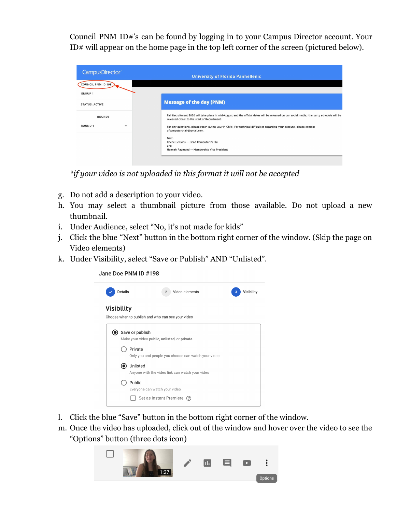Council PNM ID#'s can be found by logging in to your Campus Director account. Your ID# will appear on the home page in the top left corner of the screen (pictured below).

| <b>CampusDirector</b>                          | <b>University of Florida Panhellenic</b>                                                                                                                                |
|------------------------------------------------|-------------------------------------------------------------------------------------------------------------------------------------------------------------------------|
| COUNCIL PNM ID 198                             |                                                                                                                                                                         |
| <b>GROUP 1</b>                                 | <b>Message of the day (PNM)</b>                                                                                                                                         |
| <b>STATUS: ACTIVE</b>                          | Fall Recruitment 2020 will take place in mid-August and the official dates will be released on our social media; the party schedule will be                             |
| <b>ROUNDS</b><br><b>ROUND1</b><br>$\mathbf{v}$ | released closer to the start of Recruitment.<br>For any questions, please reach out to your Pi Chi's! For technical difficulties regarding your account, please contact |
|                                                | ufcomputerchair@gmail.com.<br>Best,                                                                                                                                     |
|                                                | Rachel Jenkins -- Head Computer Pi Chi<br>and<br>Hannah Raymond -- Membership Vice President                                                                            |

*\*if your video is not uploaded in this format it will not be accepted*

- g. Do not add a description to your video.
- h. You may select a thumbnail picture from those available. Do not upload a new thumbnail.
- i. Under Audience, select "No, it's not made for kids"
- j. Click the blue "Next" button in the bottom right corner of the window. (Skip the page on Video elements)
- k. Under Visibility, select "Save or Publish" AND "Unlisted".





- l. Click the blue "Save" button in the bottom right corner of the window.
- m. Once the video has uploaded, click out of the window and hover over the video to see the "Options" button (three dots icon)